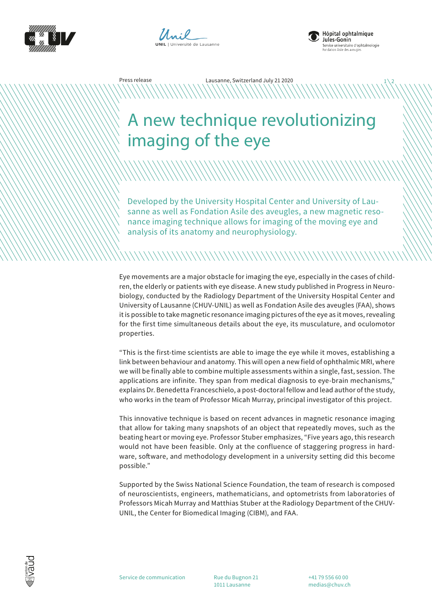





 $1/2$ 

## A new technique revolutionizing imaging of the eye

Press release Lausanne, Switzerland July 21 2020

Developed by the University Hospital Center and University of Lausanne as well as Fondation Asile des aveugles, a new magnetic resonance imaging technique allows for imaging of the moving eye and analysis of its anatomy and neurophysiology.

Eye movements are a major obstacle for imaging the eye, especially in the cases of children, the elderly or patients with eye disease. A new study published in Progress in Neurobiology, conducted by the Radiology Department of the University Hospital Center and University of Lausanne (CHUV-UNIL) as well as Fondation Asile des aveugles (FAA), shows it is possible to take magnetic resonance imaging pictures of the eye as it moves, revealing for the first time simultaneous details about the eye, its musculature, and oculomotor properties.

"This is the first-time scientists are able to image the eye while it moves, establishing a link between behaviour and anatomy. This will open a new field of ophthalmic MRI, where we will be finally able to combine multiple assessments within a single, fast, session. The applications are infinite. They span from medical diagnosis to eye-brain mechanisms," explains Dr. Benedetta Franceschielo, a post-doctoral fellow and lead author of the study, who works in the team of Professor Micah Murray, principal investigator of this project.

This innovative technique is based on recent advances in magnetic resonance imaging that allow for taking many snapshots of an object that repeatedly moves, such as the beating heart or moving eye. Professor Stuber emphasizes, "Five years ago, this research would not have been feasible. Only at the confluence of staggering progress in hardware, software, and methodology development in a university setting did this become possible."

Supported by the Swiss National Science Foundation, the team of research is composed of neuroscientists, engineers, mathematicians, and optometrists from laboratories of Professors Micah Murray and Matthias Stuber at the Radiology Department of the CHUV-UNIL, the Center for Biomedical Imaging (CIBM), and FAA.